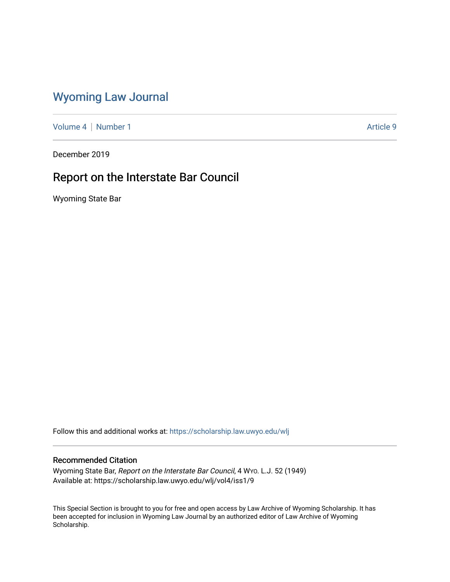# [Wyoming Law Journal](https://scholarship.law.uwyo.edu/wlj)

[Volume 4](https://scholarship.law.uwyo.edu/wlj/vol4) | [Number 1](https://scholarship.law.uwyo.edu/wlj/vol4/iss1) Article 9

December 2019

# Report on the Interstate Bar Council

Wyoming State Bar

Follow this and additional works at: [https://scholarship.law.uwyo.edu/wlj](https://scholarship.law.uwyo.edu/wlj?utm_source=scholarship.law.uwyo.edu%2Fwlj%2Fvol4%2Fiss1%2F9&utm_medium=PDF&utm_campaign=PDFCoverPages) 

# Recommended Citation

Wyoming State Bar, Report on the Interstate Bar Council, 4 WYO. L.J. 52 (1949) Available at: https://scholarship.law.uwyo.edu/wlj/vol4/iss1/9

This Special Section is brought to you for free and open access by Law Archive of Wyoming Scholarship. It has been accepted for inclusion in Wyoming Law Journal by an authorized editor of Law Archive of Wyoming Scholarship.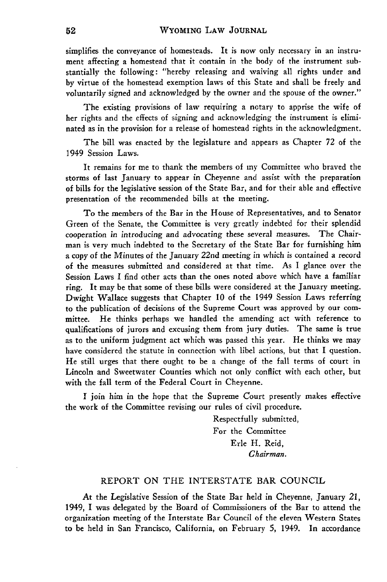simplifies the conveyance of homesteads. It is now only necessary in an instrument affecting a homestead that it contain in the body of the instrument substantially the following: "hereby releasing and waiving all rights under and by virtue of the homestead exemption laws of this State and shall be freely and voluntarily signed and acknowledged by the owner and the spouse of the owner."

The existing provisions of law requiring a notary to apprise the wife of her rights and the effects of signing and acknowledging the instrument is eliminated as in the provision for a release of homestead rights in the acknowledgment.

The bill was enacted by the legislature and appears as Chapter 72 of the 1949 Session Laws.

It remains for me to thank the members of my Committee who braved the storms of last January to appear in Cheyenne and assist with the preparation of bills for the legislative session of the State Bar, and for their able and effective presentation of the recommended bills at the meeting.

To the members of the Bar in the House of Representatives, and to Senator Green of the Senate, the Committee is very greatly indebted for their splendid cooperation in introducing and advocating these several measures. The Chairman is very much indebted to the Secretary of the State Bar for furnishing him a copy of the Minutes of the January *22nd* meeting in which is contained a record of the measures submitted and considered at that time. As I glance over the Session Laws I find other acts than the ones noted above which have a familiar ring. It may be that some of these bills were considered at the January meeting. Dwight Wallace suggests that Chapter **10** of the 1949 Session Laws referring to the publication of decisions of the Supreme Court was approved by our committee. He thinks perhaps we handled the amending act with reference to qualifications of jurors and excusing them from jury duties. The same is true as to the uniform judgment act which was passed this year. He thinks we may have considered the statute in connection with libel actions, but that I question. He still urges that there ought to be a change of the fall terms of court in Lincoln and Sweetwater Counties which not only conflict with each other, but with the fall term of the Federal Court in Cheyenne.

I join him in the hope that the Supreme Court presently makes effective the work of the Committee revising our rules of civil procedure.

> Respectfully submitted, For the Committee Erle H. Reid, *Chairman.*

### REPORT ON THE INTERSTATE BAR COUNCIL

At the Legislative Session of the State Bar held in Cheyenne, January 21, 1949, I was delegated by the Board of Commissioners of the Bar to attend the organization meeting of the Interstate Bar Council of the eleven Western States to be held in San Francisco, California, on February 5, 1949. In accordance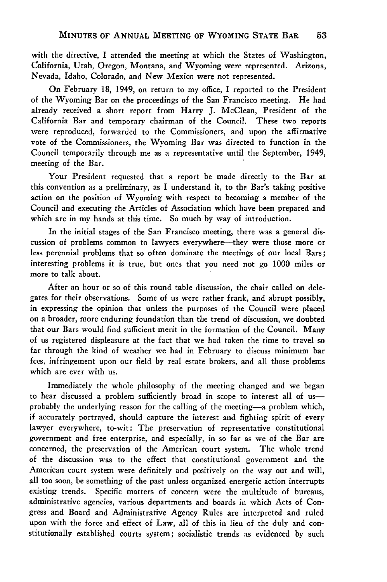with the directive, I attended the meeting at which the States of Washington, California, Utah, Oregon, Montana, and Wyoming were represented. Arizona, Nevada, Idaho, Colorado, and New Mexico were not represented.

On February 18, 1949, on return to my office, I reported to the President of the Wyoming Bar on the proceedings of the San Francisco meeting. He had already received a short report from Harry J. McClean, President of the California Bar and temporary chairman of the Council. These two reports were reproduced, forwarded to the Commissioners, and upon the affirmative vote of the Commissioners, the Wyoming Bar was directed to function in the Council temporarily through me as a representative until the September, 1949, meeting of the Bar.

Your President requested that a report be made directly to the Bar at this convention as a preliminary, as I understand it, to the Bar's taking positive action on the position of Wyoming with respect to becoming a member of the Council and executing the Articles of Association which have been prepared and which are in my hands at this time. So much by way of introduction.

In the initial stages of the San Francisco meeting, there was a general discussion of problems common to lawyers everywhere-they were those more or less perennial problems that so often dominate the meetings of our local Bars; interesting problems it is true, but ones that you need not go **1000** miles or more to talk about.

After an hour or so of this round table discussion, the chair called on delegates for their observations. Some of us were rather frank, and abrupt possibly, in expressing the opinion that unless the purposes of the Council were placed on a broader, more enduring foundation than the trend of discussion, we doubted that our Bars would find sufficient merit in the formation of the Council. Many of us registered displeasure at the fact that we had taken the time to travel so far through the kind of weather we had in February to discuss minimum bar fees, infringement upon our field by real estate brokers, and all those problems which are ever with us.

Immediately the whole philosophy of the meeting changed and we began to hear discussed a problem sufficiently broad in scope to interest all of usprobably the underlying reason for the calling of the meeting—a problem which, if accurately portrayed, should capture the interest and fighting spirit of every lawyer everywhere, to-wit: The preservation of representative constitutional government and free enterprise, and especially, in so far as we of the Bar are concerned, the preservation of the American court system. The whole trend of the discussion was to the effect that constitutional government and the American court system were definitely and positively on the way out and will, all too soon, be something of the past unless organized energetic action interrupts existing trends. Specific matters of concern were the multitude of bureaus, administrative agencies, various departments and boards in which Acts of Congress and Board and Administrative Agency Rules are interpreted and ruled upon with the force and effect of Law, all of this in lieu of the duly and constitutionally established courts system; socialistic trends as evidenced by such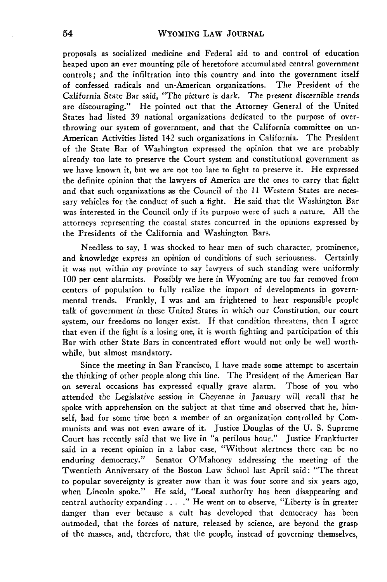proposals as socialized medicine and Federal aid to and control of education heaped upon an ever mounting pile of heretofore accumulated central government controls; and the infiltration into this country and into the government itself of confessed radicals and un-American organizations. The President of the California State Bar said, "The picture is dark. The present discernible trends are discouraging." He pointed out that the Attorney General of the United States had listed 39 national organizations dedicated to the purpose of overthrowing our system of government, and that the California committee on un-American Activities listed 142 such organizations in California. The President of the State Bar of Washington expressed the opinion that we are probably already too late to preserve the Court system and constitutional government as we have known it, but we are not too late to fight to preserve it. He expressed the definite opinion that the lawyers of America are the ones to carry that fight and that such organizations as the Council of the 11 Western States are necessary vehicles for the conduct of such a fight. He said that the Washington Bar was interested in the Council only if its purpose were of such a nature. **All** the attorneys representing the coastal states concurred in the opinions expressed by the Presidents of the California and Washington Bars.

Needless to say, I was shocked to hear men of such character, prominence, and knowledge express an opinion of conditions of such seriousness. Certainly it was not within my province to say lawyers of such standing were uniformly **100** per cent alarmists. Possibly we here in Wyoming are too far removed from centers **of** population to fully realize the import of developments in governmental trends. Frankly, I was and am frightened to hear responsible people talk of government in these United States in which our Constitution, our court system, our freedoms no longer exist. If that condition threatens, then I agree that even if the fight is a losing one, it is worth fighting and participation of this Bar with other State Bars in concentrated effort would not only be well worthwhile, but almost mandatory.

Since the meeting in San Francisco, I have made some attempt to ascertain the thinking of other people along this line. The President of the American Bar on several occasions has expressed equally grave alarm. Those of you who attended the Legislative session *in* Cheyenne in January will recall that he spoke with apprehension on the subject at that time and observed that he, himself, had for some time been a member of an organization controlled by Communists and was not even aware of it. Justice Douglas of the U. S. Supreme Court has recently said that we live in "a perilous hour." Justice Frankfurter said in a recent opinion in a labor case, "Without alertness there can be no enduring democracy." Senator O'Mahoney addressing the meeting of the Twentieth Anniversary of the Boston Law School last April said: "The threat to popular sovereignty is greater now than it was four score and six years ago, when Lincoln spoke." He said, "Local authority has been disappearing and central authority expanding . **. . ."** He went on to observe, "Liberty is in greater danger than ever because a cult has developed that democracy has been outmoded, that the forces of nature, released by science, are beyond the grasp of the masses, and, therefore, that the people, instead of governing themselves,